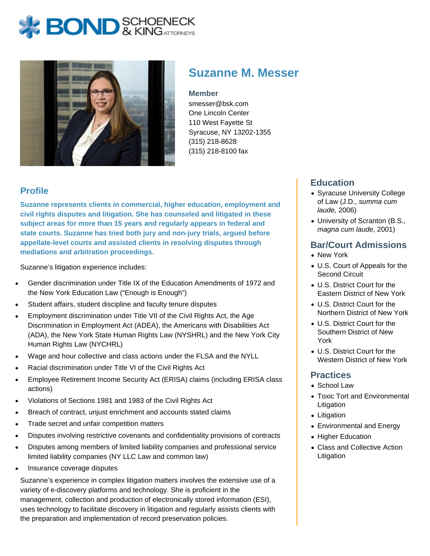# **BOND** & KINGATTORNECK



## **Suzanne M. Messer**

#### **Member**

smesser@bsk.com One Lincoln Center 110 West Fayette St Syracuse, NY 13202-1355 (315) 218-8628 (315) 218-8100 fax

#### **Profile**

**Suzanne represents clients in commercial, higher education, employment and civil rights disputes and litigation. She has counseled and litigated in these subject areas for more than 15 years and regularly appears in federal and state courts. Suzanne has tried both jury and non-jury trials, argued before appellate-level courts and assisted clients in resolving disputes through mediations and arbitration proceedings.**

Suzanne's litigation experience includes:

- Gender discrimination under Title IX of the Education Amendments of 1972 and the New York Education Law ("Enough is Enough")
- Student affairs, student discipline and faculty tenure disputes
- Employment discrimination under Title VII of the Civil Rights Act, the Age Discrimination in Employment Act (ADEA), the Americans with Disabilities Act (ADA), the New York State Human Rights Law (NYSHRL) and the New York City Human Rights Law (NYCHRL)
- Wage and hour collective and class actions under the FLSA and the NYLL
- Racial discrimination under Title VI of the Civil Rights Act
- Employee Retirement Income Security Act (ERISA) claims (including ERISA class actions)
- Violations of Sections 1981 and 1983 of the Civil Rights Act
- Breach of contract, unjust enrichment and accounts stated claims
- Trade secret and unfair competition matters
- Disputes involving restrictive covenants and confidentiality provisions of contracts
- Disputes among members of limited liability companies and professional service limited liability companies (NY LLC Law and common law)
- Insurance coverage disputes

Suzanne's experience in complex litigation matters involves the extensive use of a variety of e-discovery platforms and technology. She is proficient in the management, collection and production of electronically stored information (ESI), uses technology to facilitate discovery in litigation and regularly assists clients with the preparation and implementation of record preservation policies.

#### **Education**

- Syracuse University College of Law (J.D., summa cum laude, 2006)
- University of Scranton (B.S., magna cum laude, 2001)

#### **Bar/Court Admissions**

- New York
- U.S. Court of Appeals for the Second Circuit
- U.S. District Court for the Eastern District of New York
- U.S. District Court for the Northern District of New York
- U.S. District Court for the Southern District of New York
- U.S. District Court for the Western District of New York

#### **Practices**

- School Law
- Toxic Tort and Environmental Litigation
- Litigation
- Environmental and Energy
- Higher Education
- Class and Collective Action Litigation